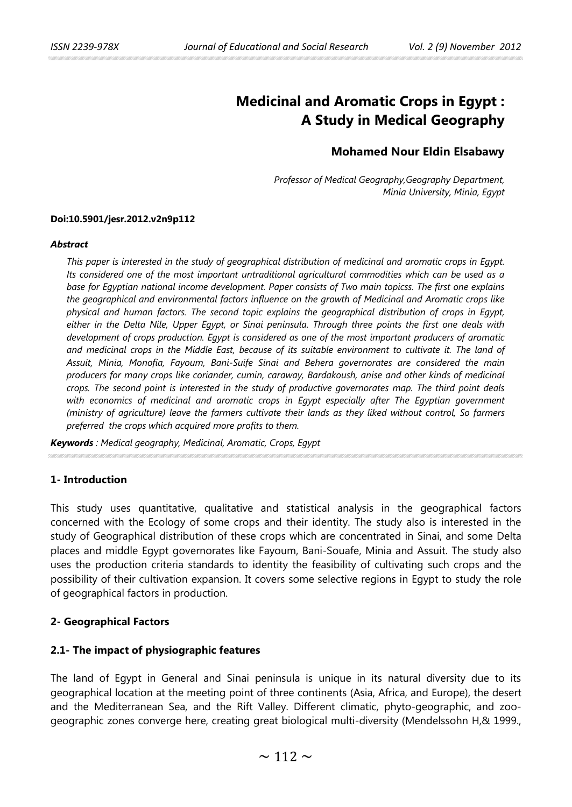# **Medicinal and Aromatic Crops in Egypt : A Study in Medical Geography**

# **Mohamed Nour Eldin Elsabawy**

*Professor of Medical Geography,Geography Department, Minia University, Minia, Egypt* 

### **Doi:10.5901/jesr.2012.v2n9p112**

#### *Abstract*

*This paper is interested in the study of geographical distribution of medicinal and aromatic crops in Egypt. Its considered one of the most important untraditional agricultural commodities which can be used as a base for Egyptian national income development. Paper consists of Two main topicss. The first one explains the geographical and environmental factors influence on the growth of Medicinal and Aromatic crops like physical and human factors. The second topic explains the geographical distribution of crops in Egypt, either in the Delta Nile, Upper Egypt, or Sinai peninsula. Through three points the first one deals with development of crops production. Egypt is considered as one of the most important producers of aromatic and medicinal crops in the Middle East, because of its suitable environment to cultivate it. The land of Assuit, Minia, Monofia, Fayoum, Bani-Suife Sinai and Behera governorates are considered the main producers for many crops like coriander, cumin, caraway, Bardakoush, anise and other kinds of medicinal crops. The second point is interested in the study of productive governorates map. The third point deals*  with economics of medicinal and aromatic crops in Egypt especially after The Egyptian government *(ministry of agriculture) leave the farmers cultivate their lands as they liked without control, So farmers preferred the crops which acquired more profits to them.*

*Keywords : Medical geography, Medicinal, Aromatic, Crops, Egypt*

# **1- Introduction**

This study uses quantitative, qualitative and statistical analysis in the geographical factors concerned with the Ecology of some crops and their identity. The study also is interested in the study of Geographical distribution of these crops which are concentrated in Sinai, and some Delta places and middle Egypt governorates like Fayoum, Bani-Souafe, Minia and Assuit. The study also uses the production criteria standards to identity the feasibility of cultivating such crops and the possibility of their cultivation expansion. It covers some selective regions in Egypt to study the role of geographical factors in production.

# **2- Geographical Factors**

# **2.1- The impact of physiographic features**

The land of Egypt in General and Sinai peninsula is unique in its natural diversity due to its geographical location at the meeting point of three continents (Asia, Africa, and Europe), the desert and the Mediterranean Sea, and the Rift Valley. Different climatic, phyto-geographic, and zoogeographic zones converge here, creating great biological multi-diversity (Mendelssohn H,& 1999.,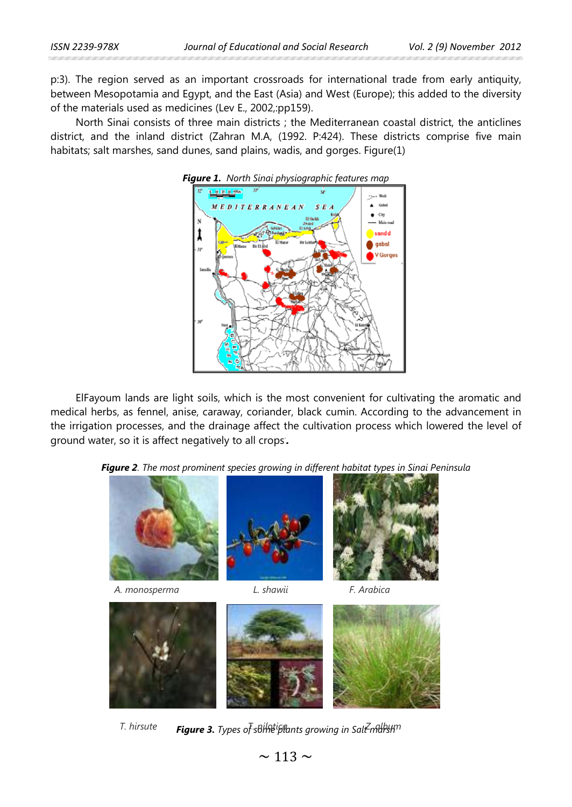p:3). The region served as an important crossroads for international trade from early antiquity, between Mesopotamia and Egypt, and the East (Asia) and West (Europe); this added to the diversity of the materials used as medicines (Lev E., 2002,:pp159).

North Sinai consists of three main districts ; the Mediterranean coastal district, the anticlines district, and the inland district (Zahran M.A, (1992. P:424). These districts comprise five main habitats; salt marshes, sand dunes, sand plains, wadis, and gorges. Figure(1)



ElFayoum lands are light soils, which is the most convenient for cultivating the aromatic and medical herbs, as fennel, anise, caraway, coriander, black cumin. According to the advancement in the irrigation processes, and the drainage affect the cultivation process which lowered the level of ground water, so it is affect negatively to all crops. **.** 





*F. hirsute* **Figure 3.** Types of sbindiplants growing in Salt-markhtm

 $\sim$  113  $\sim$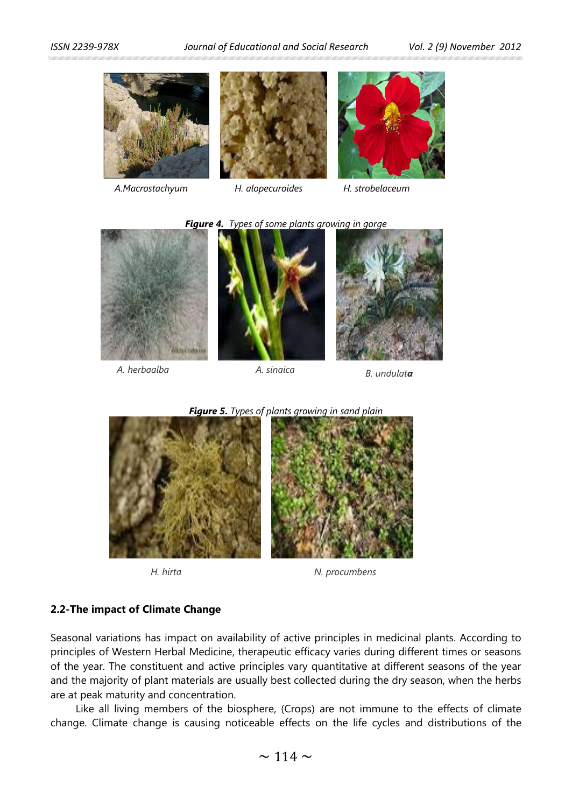*ISSN 2239-978X Journal of Educational and Social Research Vol. 2 (9) November 2012* 



*A.Macrostachyum H. alopecuroides H. strobelaceum*



*Figure 4. Types of some plants growing in gorge*



*A. herbaalba A. sinaica B. undulata*





*H. hirta N. procumbens*

# **2.2-The impact of Climate Change**

Seasonal variations has impact on availability of active principles in medicinal plants. According to principles of Western Herbal Medicine, therapeutic efficacy varies during different times or seasons of the year. The constituent and active principles vary quantitative at different seasons of the year and the majority of plant materials are usually best collected during the dry season, when the herbs are at peak maturity and concentration.

Like all living members of the biosphere, (Crops) are not immune to the effects of climate change. Climate change is causing noticeable effects on the life cycles and distributions of the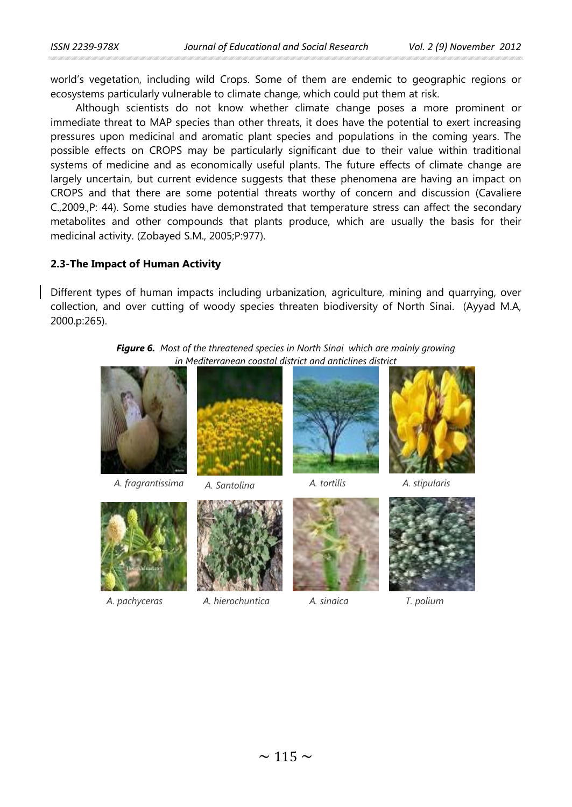world's vegetation, including wild Crops. Some of them are endemic to geographic regions or ecosystems particularly vulnerable to climate change, which could put them at risk.

Although scientists do not know whether climate change poses a more prominent or immediate threat to MAP species than other threats, it does have the potential to exert increasing pressures upon medicinal and aromatic plant species and populations in the coming years. The possible effects on CROPS may be particularly significant due to their value within traditional systems of medicine and as economically useful plants. The future effects of climate change are largely uncertain, but current evidence suggests that these phenomena are having an impact on CROPS and that there are some potential threats worthy of concern and discussion (Cavaliere C.,2009.,P: 44). Some studies have demonstrated that temperature stress can affect the secondary metabolites and other compounds that plants produce, which are usually the basis for their medicinal activity. (Zobayed S.M., 2005;P:977).

## **2.3-The Impact of Human Activity**

Different types of human impacts including urbanization, agriculture, mining and quarrying, over collection, and over cutting of woody species threaten biodiversity of North Sinai. (Ayyad M.A, 2000.p:265).

*Figure 6. Most of the threatened species in North Sinai which are mainly growing in Mediterranean coastal district and anticlines district*







*A. pachyceras A. hierochuntica A. sinaica*





*T. polium*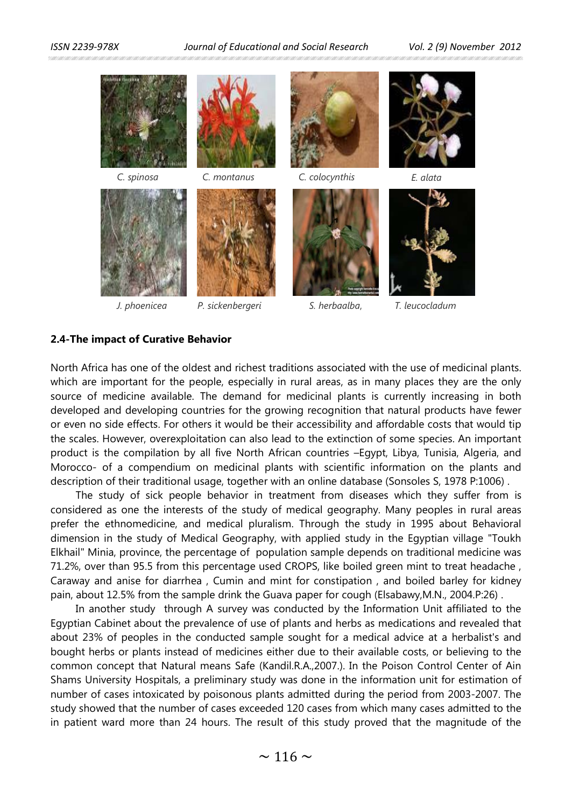*ISSN 2239-978X Journal of Educational and Social Research Vol. 2 (9) November 2012* 



## **2.4-The impact of Curative Behavior**

North Africa has one of the oldest and richest traditions associated with the use of medicinal plants. which are important for the people, especially in rural areas, as in many places they are the only source of medicine available. The demand for medicinal plants is currently increasing in both developed and developing countries for the growing recognition that natural products have fewer or even no side effects. For others it would be their accessibility and affordable costs that would tip the scales. However, overexploitation can also lead to the extinction of some species. An important product is the compilation by all five North African countries –Egypt, Libya, Tunisia, Algeria, and Morocco- of a compendium on medicinal plants with scientific information on the plants and description of their traditional usage, together with an online database (Sonsoles S, 1978 P:1006) .

The study of sick people behavior in treatment from diseases which they suffer from is considered as one the interests of the study of medical geography. Many peoples in rural areas prefer the ethnomedicine, and medical pluralism. Through the study in 1995 about Behavioral dimension in the study of Medical Geography, with applied study in the Egyptian village "Toukh Elkhail" Minia, province, the percentage of population sample depends on traditional medicine was 71.2%, over than 95.5 from this percentage used CROPS, like boiled green mint to treat headache , Caraway and anise for diarrhea , Cumin and mint for constipation , and boiled barley for kidney pain, about 12.5% from the sample drink the Guava paper for cough (Elsabawy,M.N., 2004.P:26) .

In another study through A survey was conducted by the Information Unit affiliated to the Egyptian Cabinet about the prevalence of use of plants and herbs as medications and revealed that about 23% of peoples in the conducted sample sought for a medical advice at a herbalist's and bought herbs or plants instead of medicines either due to their available costs, or believing to the common concept that Natural means Safe (Kandil.R.A.,2007.). In the Poison Control Center of Ain Shams University Hospitals, a preliminary study was done in the information unit for estimation of number of cases intoxicated by poisonous plants admitted during the period from 2003-2007. The study showed that the number of cases exceeded 120 cases from which many cases admitted to the in patient ward more than 24 hours. The result of this study proved that the magnitude of the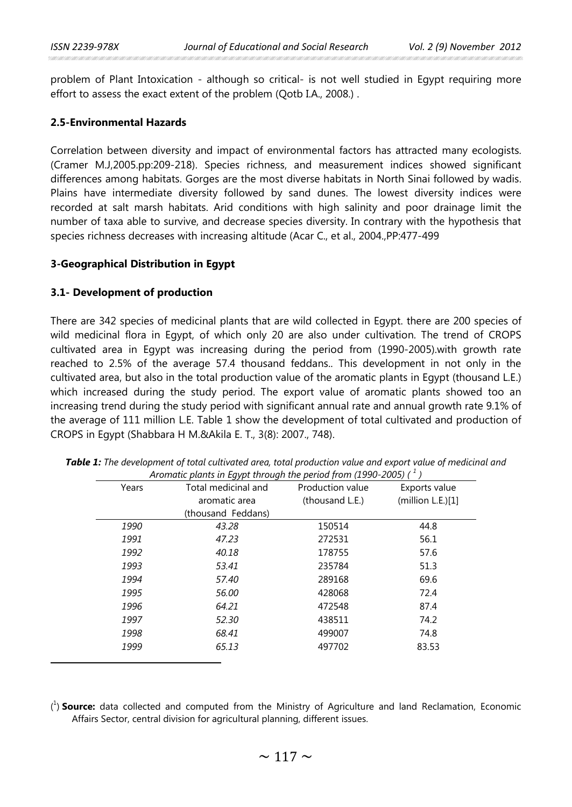problem of Plant Intoxication - although so critical- is not well studied in Egypt requiring more effort to assess the exact extent of the problem (Qotb I.A., 2008.) .

### **2.5-Environmental Hazards**

Correlation between diversity and impact of environmental factors has attracted many ecologists. (Cramer M.J,2005.pp:209-218). Species richness, and measurement indices showed significant differences among habitats. Gorges are the most diverse habitats in North Sinai followed by wadis. Plains have intermediate diversity followed by sand dunes. The lowest diversity indices were recorded at salt marsh habitats. Arid conditions with high salinity and poor drainage limit the number of taxa able to survive, and decrease species diversity. In contrary with the hypothesis that species richness decreases with increasing altitude (Acar C., et al., 2004.,PP:477-499

#### **3-Geographical Distribution in Egypt**

#### **3.1- Development of production**

 $\overline{a}$ 

There are 342 species of medicinal plants that are wild collected in Egypt. there are 200 species of wild medicinal flora in Egypt, of which only 20 are also under cultivation. The trend of CROPS cultivated area in Egypt was increasing during the period from (1990-2005).with growth rate reached to 2.5% of the average 57.4 thousand feddans.. This development in not only in the cultivated area, but also in the total production value of the aromatic plants in Egypt (thousand L.E.) which increased during the study period. The export value of aromatic plants showed too an increasing trend during the study period with significant annual rate and annual growth rate 9.1% of the average of 111 million L.E. Table 1 show the development of total cultivated and production of CROPS in Egypt (Shabbara H M.&Akila E. T., 3(8): 2007., 748).

| Years | Total medicinal and | Production value | Exports value     |  |
|-------|---------------------|------------------|-------------------|--|
|       | aromatic area       | (thousand L.E.)  | (million L.E.)[1] |  |
|       | (thousand Feddans)  |                  |                   |  |
| 1990  | 43.28               | 150514           | 44.8              |  |
| 1991  | 47.23               | 272531           | 56.1              |  |
| 1992  | 40.18               | 178755           | 57.6              |  |
| 1993  | 53.41               | 235784           | 51.3              |  |
| 1994  | 57.40               | 289168           | 69.6              |  |
| 1995  | 56.00               | 428068           | 72.4              |  |
| 1996  | 64.21               | 472548           | 87.4              |  |
| 1997  | 52.30               | 438511           | 74.2              |  |
| 1998  | 68.41               | 499007           | 74.8              |  |
| 1999  | 65.13               | 497702           | 83.53             |  |
|       |                     |                  |                   |  |

*Table 1: The development of total cultivated area, total production value and export value of medicinal and Aromatic plants in Egypt through the period from (1990-2005) ( [1](#page-5-0) )*

<span id="page-5-0"></span>( 1 ) **Source:** data collected and computed from the Ministry of Agriculture and land Reclamation, Economic Affairs Sector, central division for agricultural planning, different issues.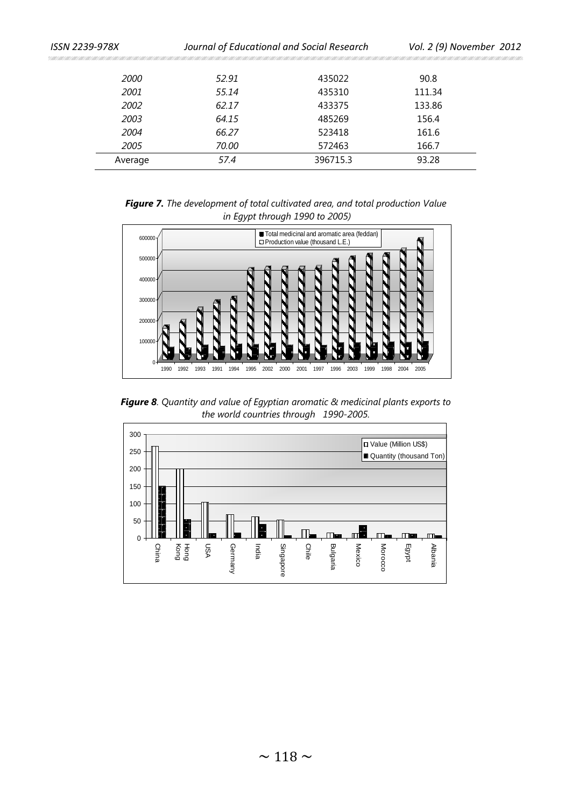| ISSN 2239-978X |         | Journal of Educational and Social Research |          | Vol. 2 (9) November 2012 |  |  |
|----------------|---------|--------------------------------------------|----------|--------------------------|--|--|
|                |         |                                            |          |                          |  |  |
|                | 2000    | 52.91                                      | 435022   | 90.8                     |  |  |
|                | 2001    | 55.14                                      | 435310   | 111.34                   |  |  |
|                | 2002    | 62.17                                      | 433375   | 133.86                   |  |  |
|                | 2003    | 64.15                                      | 485269   | 156.4                    |  |  |
|                | 2004    | 66.27                                      | 523418   | 161.6                    |  |  |
|                | 2005    | 70.00                                      | 572463   | 166.7                    |  |  |
|                | Average | 57.4                                       | 396715.3 | 93.28                    |  |  |

*Figure 7. The development of total cultivated area, and total production Value in Egypt through 1990 to 2005)*



*Figure 8. Quantity and value of Egyptian aromatic & medicinal plants exports to the world countries through 1990-2005.*

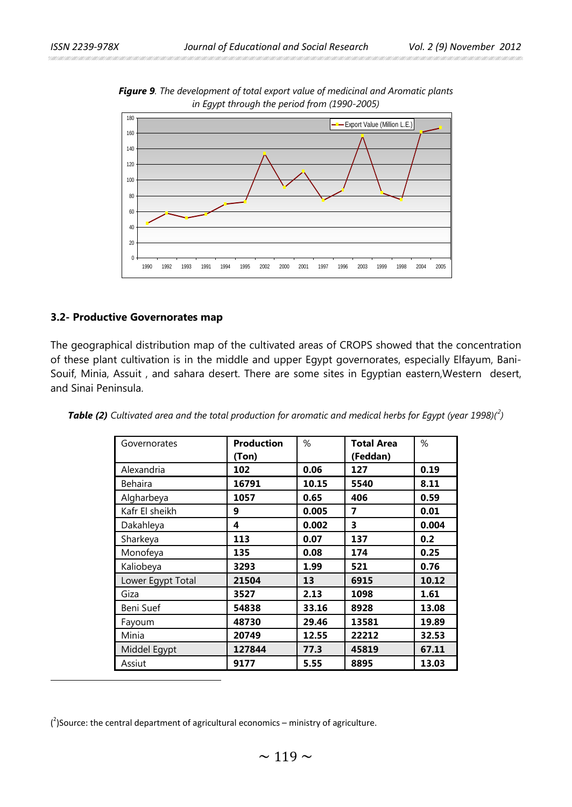

*Figure 9. The development of total export value of medicinal and Aromatic plants in Egypt through the period from (1990-2005)*

# **3.2- Productive Governorates map**

 $\overline{a}$ 

The geographical distribution map of the cultivated areas of CROPS showed that the concentration of these plant cultivation is in the middle and upper Egypt governorates, especially Elfayum, Bani-Souif, Minia, Assuit , and sahara desert. There are some sites in Egyptian eastern,Western desert, and Sinai Peninsula.

| Governorates      | <b>Production</b><br>(Ton) | %     | <b>Total Area</b><br>(Feddan) | %     |
|-------------------|----------------------------|-------|-------------------------------|-------|
| Alexandria        | 102                        | 0.06  | 127                           | 0.19  |
| Behaira           | 16791                      | 10.15 | 5540                          | 8.11  |
| Algharbeya        | 1057                       | 0.65  | 406                           | 0.59  |
| Kafr El sheikh    | 9                          | 0.005 | 7                             | 0.01  |
| Dakahleya         | 4                          | 0.002 | 3                             | 0.004 |
| Sharkeya          | 113                        | 0.07  | 137                           | 0.2   |
| Monofeya          | 135                        | 0.08  | 174                           | 0.25  |
| Kaliobeya         | 3293                       | 1.99  | 521                           | 0.76  |
| Lower Egypt Total | 21504                      | 13    | 6915                          | 10.12 |
| Giza              | 3527                       | 2.13  | 1098                          | 1.61  |
| Beni Suef         | 54838                      | 33.16 | 8928                          | 13.08 |
| Fayoum            | 48730                      | 29.46 | 13581                         | 19.89 |
| Minia             | 20749                      | 12.55 | 22212                         | 32.53 |
| Middel Egypt      | 127844                     | 77.3  | 45819                         | 67.11 |
| Assiut            | 9177                       | 5.55  | 8895                          | 13.03 |

*Table (2) Cultivated area and the total production for aromatic and medical herbs for Egypt (year 1998)([2](#page-7-0) )*

<span id="page-7-0"></span> $\binom{2}{1}$ Source: the central department of agricultural economics – ministry of agriculture.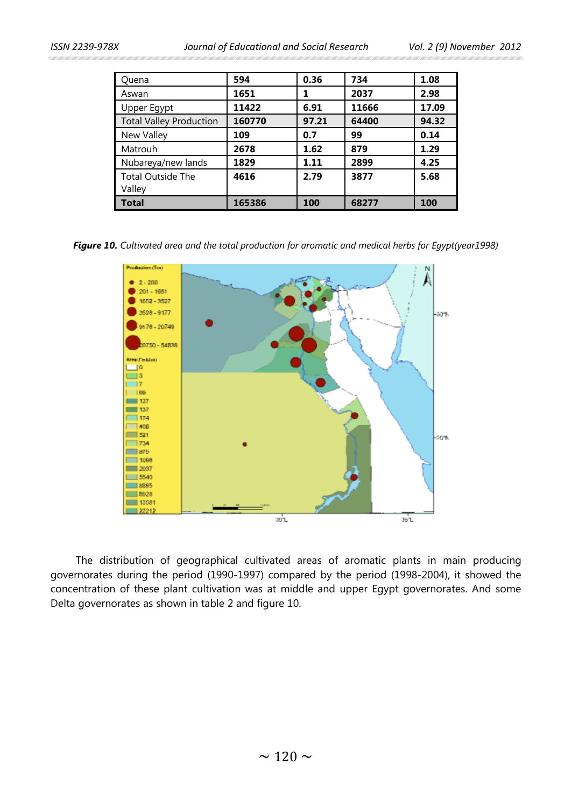*ISSN 2239-978X Journal of Educational and Social Research Vol. 2 (9) November 2012* 

| Quena                          | 594    | 0.36  | 734   | 1.08  |
|--------------------------------|--------|-------|-------|-------|
| Aswan                          | 1651   |       | 2037  | 2.98  |
| Upper Egypt                    | 11422  | 6.91  | 11666 | 17.09 |
| <b>Total Valley Production</b> | 160770 | 97.21 | 64400 | 94.32 |
| New Valley                     | 109    | 0.7   | 99    | 0.14  |
| Matrouh                        | 2678   | 1.62  | 879   | 1.29  |
| Nubareya/new lands             | 1829   | 1.11  | 2899  | 4.25  |
| <b>Total Outside The</b>       | 4616   | 2.79  | 3877  | 5.68  |
| Valley                         |        |       |       |       |
| <b>Total</b>                   | 165386 | 100   | 68277 | 100   |

*Figure 10. Cultivated area and the total production for aromatic and medical herbs for Egypt(year1998)*



The distribution of geographical cultivated areas of aromatic plants in main producing governorates during the period (1990-1997) compared by the period (1998-2004), it showed the concentration of these plant cultivation was at middle and upper Egypt governorates. And some Delta governorates as shown in table 2 and figure 10.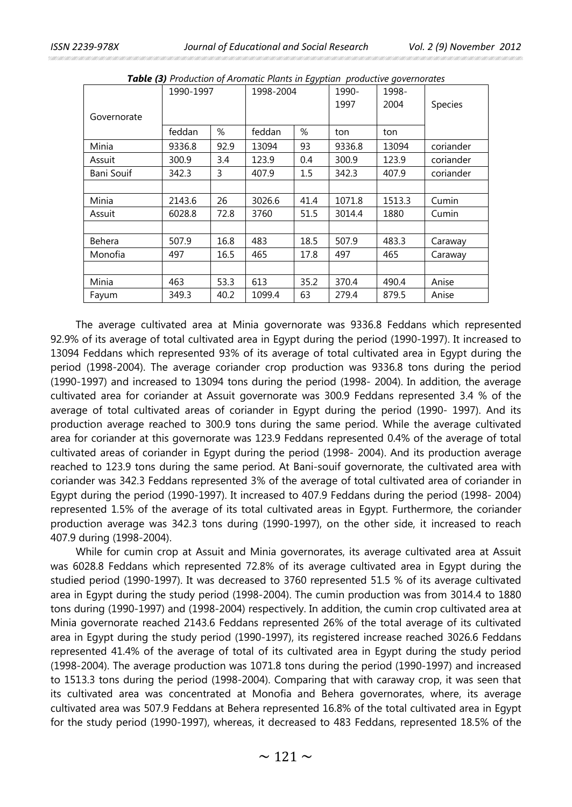|                   | 1990-1997 |      | - <i>JJ F</i> * * *<br>1998-2004 |      | 1990-  | 1998-  |           |
|-------------------|-----------|------|----------------------------------|------|--------|--------|-----------|
| Governorate       |           |      |                                  |      | 1997   | 2004   | Species   |
|                   | feddan    | %    | feddan                           | %    | ton    | ton    |           |
| Minia             | 9336.8    | 92.9 | 13094                            | 93   | 9336.8 | 13094  | coriander |
| Assuit            | 300.9     | 3.4  | 123.9                            | 0.4  | 300.9  | 123.9  | coriander |
| <b>Bani Souif</b> | 342.3     | 3    | 407.9                            | 1.5  | 342.3  | 407.9  | coriander |
|                   |           |      |                                  |      |        |        |           |
| Minia             | 2143.6    | 26   | 3026.6                           | 41.4 | 1071.8 | 1513.3 | Cumin     |
| Assuit            | 6028.8    | 72.8 | 3760                             | 51.5 | 3014.4 | 1880   | Cumin     |
|                   |           |      |                                  |      |        |        |           |
| Behera            | 507.9     | 16.8 | 483                              | 18.5 | 507.9  | 483.3  | Caraway   |
| Monofia           | 497       | 16.5 | 465                              | 17.8 | 497    | 465    | Caraway   |
|                   |           |      |                                  |      |        |        |           |
| Minia             | 463       | 53.3 | 613                              | 35.2 | 370.4  | 490.4  | Anise     |
| Fayum             | 349.3     | 40.2 | 1099.4                           | 63   | 279.4  | 879.5  | Anise     |

*Table (3) Production of Aromatic Plants in Egyptian productive governorates*

The average cultivated area at Minia governorate was 9336.8 Feddans which represented 92.9% of its average of total cultivated area in Egypt during the period (1990-1997). It increased to 13094 Feddans which represented 93% of its average of total cultivated area in Egypt during the period (1998-2004). The average coriander crop production was 9336.8 tons during the period (1990-1997) and increased to 13094 tons during the period (1998- 2004). In addition, the average cultivated area for coriander at Assuit governorate was 300.9 Feddans represented 3.4 % of the average of total cultivated areas of coriander in Egypt during the period (1990- 1997). And its production average reached to 300.9 tons during the same period. While the average cultivated area for coriander at this governorate was 123.9 Feddans represented 0.4% of the average of total cultivated areas of coriander in Egypt during the period (1998- 2004). And its production average reached to 123.9 tons during the same period. At Bani-souif governorate, the cultivated area with coriander was 342.3 Feddans represented 3% of the average of total cultivated area of coriander in Egypt during the period (1990-1997). It increased to 407.9 Feddans during the period (1998- 2004) represented 1.5% of the average of its total cultivated areas in Egypt. Furthermore, the coriander production average was 342.3 tons during (1990-1997), on the other side, it increased to reach 407.9 during (1998-2004).

While for cumin crop at Assuit and Minia governorates, its average cultivated area at Assuit was 6028.8 Feddans which represented 72.8% of its average cultivated area in Egypt during the studied period (1990-1997). It was decreased to 3760 represented 51.5 % of its average cultivated area in Egypt during the study period (1998-2004). The cumin production was from 3014.4 to 1880 tons during (1990-1997) and (1998-2004) respectively. In addition, the cumin crop cultivated area at Minia governorate reached 2143.6 Feddans represented 26% of the total average of its cultivated area in Egypt during the study period (1990-1997), its registered increase reached 3026.6 Feddans represented 41.4% of the average of total of its cultivated area in Egypt during the study period (1998-2004). The average production was 1071.8 tons during the period (1990-1997) and increased to 1513.3 tons during the period (1998-2004). Comparing that with caraway crop, it was seen that its cultivated area was concentrated at Monofia and Behera governorates, where, its average cultivated area was 507.9 Feddans at Behera represented 16.8% of the total cultivated area in Egypt for the study period (1990-1997), whereas, it decreased to 483 Feddans, represented 18.5% of the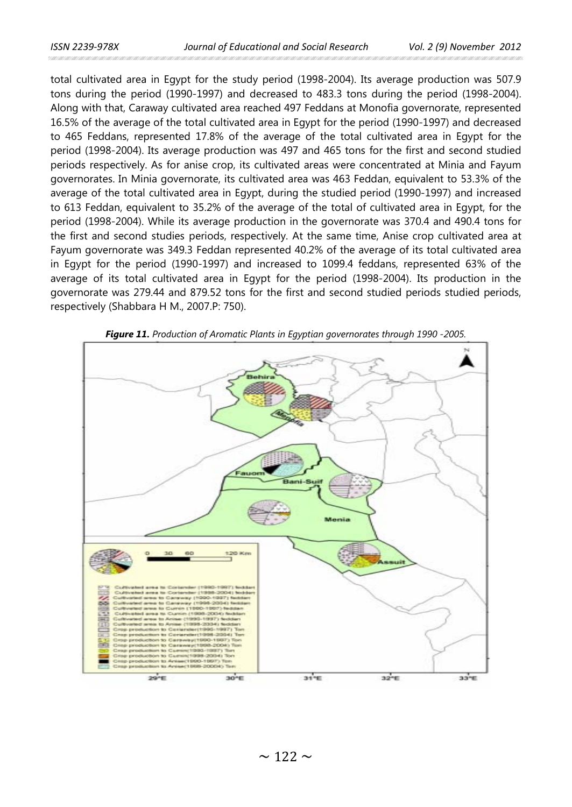total cultivated area in Egypt for the study period (1998-2004). Its average production was 507.9 tons during the period (1990-1997) and decreased to 483.3 tons during the period (1998-2004). Along with that, Caraway cultivated area reached 497 Feddans at Monofia governorate, represented 16.5% of the average of the total cultivated area in Egypt for the period (1990-1997) and decreased to 465 Feddans, represented 17.8% of the average of the total cultivated area in Egypt for the period (1998-2004). Its average production was 497 and 465 tons for the first and second studied periods respectively. As for anise crop, its cultivated areas were concentrated at Minia and Fayum governorates. In Minia governorate, its cultivated area was 463 Feddan, equivalent to 53.3% of the average of the total cultivated area in Egypt, during the studied period (1990-1997) and increased to 613 Feddan, equivalent to 35.2% of the average of the total of cultivated area in Egypt, for the period (1998-2004). While its average production in the governorate was 370.4 and 490.4 tons for the first and second studies periods, respectively. At the same time, Anise crop cultivated area at Fayum governorate was 349.3 Feddan represented 40.2% of the average of its total cultivated area in Egypt for the period (1990-1997) and increased to 1099.4 feddans, represented 63% of the average of its total cultivated area in Egypt for the period (1998-2004). Its production in the governorate was 279.44 and 879.52 tons for the first and second studied periods studied periods, respectively (Shabbara H M., 2007.P: 750).



*Figure 11. Production of Aromatic Plants in Egyptian governorates through 1990 -2005.*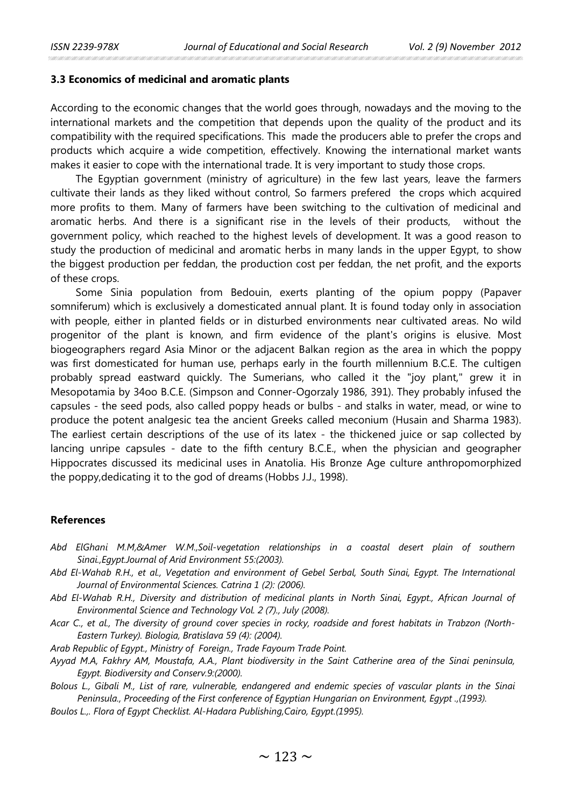#### **3.3 Economics of medicinal and aromatic plants**

According to the economic changes that the world goes through, nowadays and the moving to the international markets and the competition that depends upon the quality of the product and its compatibility with the required specifications. This made the producers able to prefer the crops and products which acquire a wide competition, effectively. Knowing the international market wants makes it easier to cope with the international trade. It is very important to study those crops.

The Egyptian government (ministry of agriculture) in the few last years, leave the farmers cultivate their lands as they liked without control, So farmers prefered the crops which acquired more profits to them. Many of farmers have been switching to the cultivation of medicinal and aromatic herbs. And there is a significant rise in the levels of their products, without the government policy, which reached to the highest levels of development. It was a good reason to study the production of medicinal and aromatic herbs in many lands in the upper Egypt, to show the biggest production per feddan, the production cost per feddan, the net profit, and the exports of these crops.

Some Sinia population from Bedouin, exerts planting of the opium poppy (Papaver somniferum) which is exclusively a domesticated annual plant. It is found today only in association with people, either in planted fields or in disturbed environments near cultivated areas. No wild progenitor of the plant is known, and firm evidence of the plant's origins is elusive. Most biogeographers regard Asia Minor or the adjacent Balkan region as the area in which the poppy was first domesticated for human use, perhaps early in the fourth millennium B.C.E. The cultigen probably spread eastward quickly. The Sumerians, who called it the "joy plant," grew it in Mesopotamia by 34oo B.C.E. (Simpson and Conner-Ogorzaly 1986, 391). They probably infused the capsules - the seed pods, also called poppy heads or bulbs - and stalks in water, mead, or wine to produce the potent analgesic tea the ancient Greeks called meconium (Husain and Sharma 1983). The earliest certain descriptions of the use of its latex - the thickened juice or sap collected by lancing unripe capsules - date to the fifth century B.C.E., when the physician and geographer Hippocrates discussed its medicinal uses in Anatolia. His Bronze Age culture anthropomorphized the poppy,dedicating it to the god of dreams (Hobbs J.J., 1998).

### **References**

- *Abd ElGhani M.M,&Amer W.M.,Soil-vegetation relationships in a coastal desert plain of southern Sinai.,Egypt.Journal of Arid Environment 55:(2003).*
- *Abd El-Wahab R.H., et al., Vegetation and environment of Gebel Serbal, South Sinai, Egypt. The International Journal of Environmental Sciences. Catrina 1 (2): (2006).*
- *Abd El-Wahab R.H., Diversity and distribution of medicinal plants in North Sinai, Egypt., African Journal of Environmental Science and Technology Vol. 2 (7)., July (2008).*
- *Acar C., et al., The diversity of ground cover species in rocky, roadside and forest habitats in Trabzon (North-Eastern Turkey). Biologia, Bratislava 59 (4): (2004).*

*Arab Republic of Egypt., Ministry of Foreign., Trade Fayoum Trade Point.*

- *Ayyad M.A, Fakhry AM, Moustafa, A.A., Plant biodiversity in the Saint Catherine area of the Sinai peninsula, Egypt. Biodiversity and Conserv.9:(2000).*
- *Bolous L., Gibali M., List of rare, vulnerable, endangered and endemic species of vascular plants in the Sinai Peninsula., Proceeding of the First conference of Egyptian Hungarian on Environment, Egypt .,(1993).*
- *Boulos L.,. Flora of Egypt Checklist. Al-Hadara Publishing,Cairo, Egypt.(1995).*